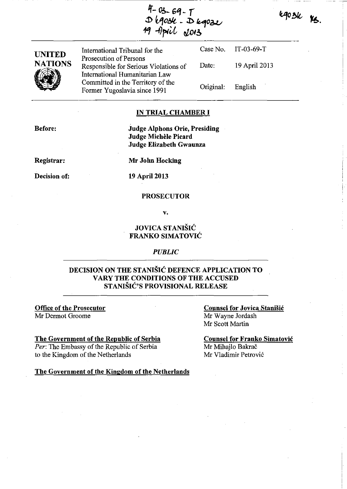egosk Ks.

-,-

4-03-69-7<br>D 690se - D 69022<br>19 April J013

| <b>UNITED</b>  | International Tribunal for the                                                                      |                   | Case No. IT-03-69-T |
|----------------|-----------------------------------------------------------------------------------------------------|-------------------|---------------------|
| <b>NATIONS</b> | Prosecution of Persons<br>Responsible for Serious Violations of                                     | Date:             | 19 April 2013       |
|                | International Humanitarian Law<br>Committed in the Territory of the<br>Former Yugoslavia since 1991 | Original: English |                     |

### IN TRIAL CHAMBER **I**

Before:

Judge Alphons Orie, Presiding Judge Michèle Picard Judge Elizabeth Gwaunza

Registrar:

Mr John Hocking

Decision of:

19 April 2013

### **PROSECUTOR**

v.

## JOVICA STANISIC FRANKO SIMATOVIC

### *PUBLIC*

## DECISION ON THE STANISIC DEFENCE APPLICATION TO VARY THE CONDITIONS OF THE ACCUSED STANISIC'S PROVISIONAL RELEASE

Office of the Prosecutor Mr Dermot Groorne

#### The Government of the Republic of Serbia

*Per:* The Embassy of the Republic of Serbia to the Kingdom of the Netherlands

Counsel for Jovica Stanisic Mr Wayne Jordash Mr Scott Martin

Counsel for Franko Simatovic Mr Mihajlo Bakrač Mr Vladimir Petrović

The Government of the Kingdom of the Netherlands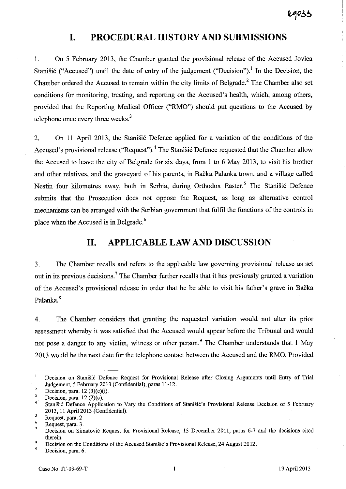## **I. PROCEDURAL HISTORY AND SUBMISSIONS**

1. On 5 February 2013, the Chamber granted the provisional release of the Accused Jovica Stanišić ("Accused") until the date of entry of the judgement ("Decision").<sup>1</sup> In the Decision, the Chamber ordered the Accused to remain within the city limits of Belgrade.<sup>2</sup> The Chamber also set conditions for monitoring, treating, and reporting on the Accused's health, which, among others, provided that the Reporting Medical Officer ("RMO") should put questions to the Accused by telephone once every three weeks. $3$ 

2. On 11 April 2013, the Stanisic Defence applied for a variation of the conditions of the Accused's provisional release ("Request").<sup>4</sup> The Stanišić Defence requested that the Chamber allow the Accused to leave the city of Belgrade for six days, from 1 to 6 May 2013, to visit his brother and other relatives, and the graveyard of his parents, in Backa Palanka town, and a village called Nestin four kilometres away, both in Serbia, during Orthodox Easter.<sup>5</sup> The Stanišić Defence submits that the Prosecution does not oppose the Request, as long as alternative control mechanisms can be arranged with the Serbian government that fulfil the functions of the controls in place when the Accused is in Belgrade.<sup>6</sup>

## **11. APPLICABLE LAW AND DISCUSSION**

3. The Chamber recalls and refers to the applicable law governing provisional release as set out in its previous decisions.<sup>7</sup> The Chamber further recalls that it has previously granted a variation of the Accused's provisional release in order that he be able to visit his father's grave in Backa Palanka.<sup>8</sup>

4. The Chamber considers that granting the requested variation would not alter its prior assessment whereby it was satisfied that the Accused would appear before the Tribunal and would not pose a danger to any victim, witness or other person.<sup>9</sup> The Chamber understands that 1 May 2013 would be the next date for the telephone contact between the Accused and the RMO. Provided

 $\mathbf{1}$ Decision on Stanišić Defence Request for Provisional Release after Closing Arguments until Entry of Trial Judgement, 5 February 2013 (Confidential), paras 11-12. 2

Decision, para. 12 (3)(e)(i).

<sup>3</sup>  Decision, para.  $12(2)(c)$ .

<sup>4</sup>  Stanišić Defence Application to Vary the Conditions of Stanišić's Provisional Release Decision of 5 February 2013, 11 April 2013 (Confidential).  $\overline{\mathbf{5}}$ 

<sup>6</sup>  Request, para. 2.

Request, para. 3.

<sup>7</sup>  Decision on Simatovic Request for Provisional Release, 13 December 2011, paras 6-7 and the decisions cited therein.  $\overline{6}$ 

<sup>9</sup>  Decision on the Conditions of the Accused Stanišić's Provisional Release, 24 August 2012.

**Decision, para. 6.** '